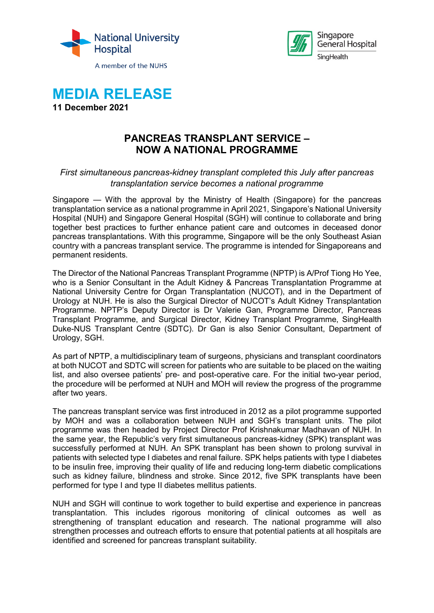





# **PANCREAS TRANSPLANT SERVICE – NOW A NATIONAL PROGRAMME**

## *First simultaneous pancreas-kidney transplant completed this July after pancreas transplantation service becomes a national programme*

Singapore — With the approval by the Ministry of Health (Singapore) for the pancreas transplantation service as a national programme in April 2021, Singapore's National University Hospital (NUH) and Singapore General Hospital (SGH) will continue to collaborate and bring together best practices to further enhance patient care and outcomes in deceased donor pancreas transplantations. With this programme, Singapore will be the only Southeast Asian country with a pancreas transplant service. The programme is intended for Singaporeans and permanent residents.

The Director of the National Pancreas Transplant Programme (NPTP) is A/Prof Tiong Ho Yee, who is a Senior Consultant in the Adult Kidney & Pancreas Transplantation Programme at National University Centre for Organ Transplantation (NUCOT), and in the Department of Urology at NUH. He is also the Surgical Director of NUCOT's Adult Kidney Transplantation Programme. NPTP's Deputy Director is Dr Valerie Gan, Programme Director, Pancreas Transplant Programme, and Surgical Director, Kidney Transplant Programme, SingHealth Duke-NUS Transplant Centre (SDTC). Dr Gan is also Senior Consultant, Department of Urology, SGH.

As part of NPTP, a multidisciplinary team of surgeons, physicians and transplant coordinators at both NUCOT and SDTC will screen for patients who are suitable to be placed on the waiting list, and also oversee patients' pre- and post-operative care. For the initial two-year period, the procedure will be performed at NUH and MOH will review the progress of the programme after two years.

The pancreas transplant service was first introduced in 2012 as a pilot programme supported by MOH and was a collaboration between NUH and SGH's transplant units. The pilot programme was then headed by Project Director Prof Krishnakumar Madhavan of NUH. In the same year, the Republic's very first simultaneous pancreas-kidney (SPK) transplant was successfully performed at NUH. An SPK transplant has been shown to prolong survival in patients with selected type I diabetes and renal failure. SPK helps patients with type I diabetes to be insulin free, improving their quality of life and reducing long-term diabetic complications such as kidney failure, blindness and stroke. Since 2012, five SPK transplants have been performed for type I and type II diabetes mellitus patients.

NUH and SGH will continue to work together to build expertise and experience in pancreas transplantation. This includes rigorous monitoring of clinical outcomes as well as strengthening of transplant education and research. The national programme will also strengthen processes and outreach efforts to ensure that potential patients at all hospitals are identified and screened for pancreas transplant suitability.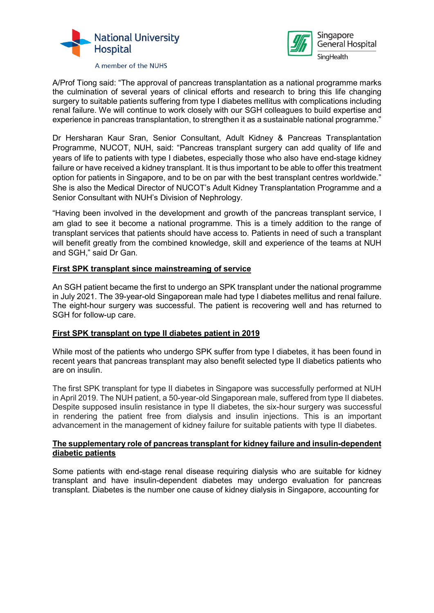



A/Prof Tiong said: "The approval of pancreas transplantation as a national programme marks the culmination of several years of clinical efforts and research to bring this life changing surgery to suitable patients suffering from type I diabetes mellitus with complications including renal failure. We will continue to work closely with our SGH colleagues to build expertise and experience in pancreas transplantation, to strengthen it as a sustainable national programme."

Dr Hersharan Kaur Sran, Senior Consultant, Adult Kidney & Pancreas Transplantation Programme, NUCOT, NUH, said: "Pancreas transplant surgery can add quality of life and years of life to patients with type I diabetes, especially those who also have end-stage kidney failure or have received a kidney transplant. It is thus important to be able to offer this treatment option for patients in Singapore, and to be on par with the best transplant centres worldwide." She is also the Medical Director of NUCOT's Adult Kidney Transplantation Programme and a Senior Consultant with NUH's Division of Nephrology.

"Having been involved in the development and growth of the pancreas transplant service, I am glad to see it become a national programme. This is a timely addition to the range of transplant services that patients should have access to. Patients in need of such a transplant will benefit greatly from the combined knowledge, skill and experience of the teams at NUH and SGH," said Dr Gan.

## **First SPK transplant since mainstreaming of service**

An SGH patient became the first to undergo an SPK transplant under the national programme in July 2021. The 39-year-old Singaporean male had type I diabetes mellitus and renal failure. The eight-hour surgery was successful. The patient is recovering well and has returned to SGH for follow-up care.

#### **First SPK transplant on type II diabetes patient in 2019**

While most of the patients who undergo SPK suffer from type I diabetes, it has been found in recent years that pancreas transplant may also benefit selected type II diabetics patients who are on insulin.

The first SPK transplant for type II diabetes in Singapore was successfully performed at NUH in April 2019. The NUH patient, a 50-year-old Singaporean male, suffered from type II diabetes. Despite supposed insulin resistance in type II diabetes, the six-hour surgery was successful in rendering the patient free from dialysis and insulin injections. This is an important advancement in the management of kidney failure for suitable patients with type II diabetes.

#### **The supplementary role of pancreas transplant for kidney failure and insulin-dependent diabetic patients**

Some patients with end-stage renal disease requiring dialysis who are suitable for kidney transplant and have insulin-dependent diabetes may undergo evaluation for pancreas transplant. Diabetes is the number one cause of kidney dialysis in Singapore, accounting for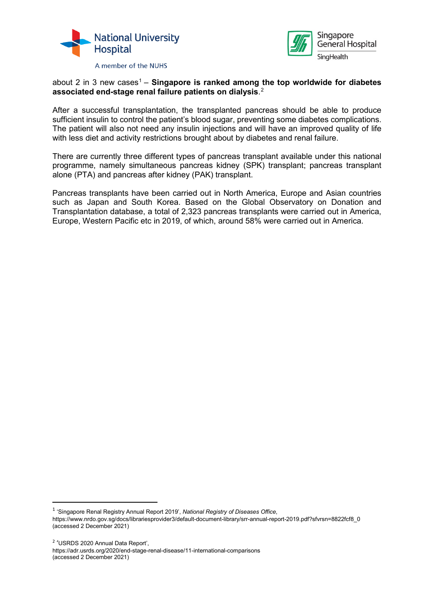



## about 2 in 3 new cases<sup>[1](#page-2-0)</sup> – **Singapore is ranked among the top worldwide for diabetes associated end-stage renal failure patients on dialysis**. [2](#page-2-1)

After a successful transplantation, the transplanted pancreas should be able to produce sufficient insulin to control the patient's blood sugar, preventing some diabetes complications. The patient will also not need any insulin injections and will have an improved quality of life with less diet and activity restrictions brought about by diabetes and renal failure.

There are currently three different types of pancreas transplant available under this national programme, namely simultaneous pancreas kidney (SPK) transplant; pancreas transplant alone (PTA) and pancreas after kidney (PAK) transplant.

Pancreas transplants have been carried out in North America, Europe and Asian countries such as Japan and South Korea. Based on the Global Observatory on Donation and Transplantation database, a total of 2,323 pancreas transplants were carried out in America, Europe, Western Pacific etc in 2019, of which, around 58% were carried out in America.

<https://adr.usrds.org/2020/end-stage-renal-disease/11-international-comparisons> (accessed 2 December 2021)

<span id="page-2-0"></span> <sup>1</sup> 'Singapore Renal Registry Annual Report 2019', *National Registry of Diseases Office*,

https://www.nrdo.gov.sg/docs/librariesprovider3/default-document-library/srr-annual-report-2019.pdf?sfvrsn=8822fcf8\_0 (accessed 2 December 2021)

<span id="page-2-1"></span><sup>2</sup> 'USRDS 2020 Annual Data Report',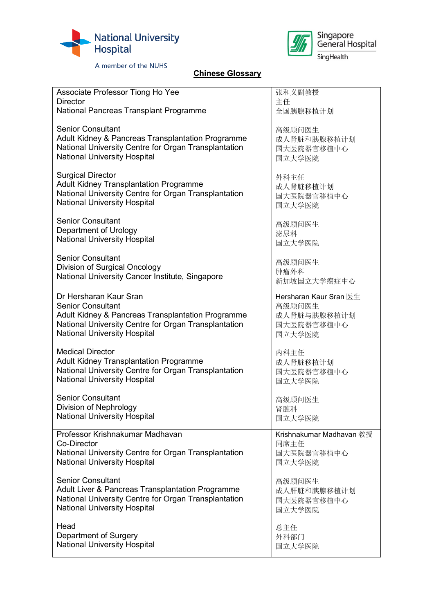



## **Chinese Glossary**

| Associate Professor Tiong Ho Yee                     | 张和义副教授                   |
|------------------------------------------------------|--------------------------|
| <b>Director</b>                                      | 主任                       |
| National Pancreas Transplant Programme               | 全国胰腺移植计划                 |
| <b>Senior Consultant</b>                             | 高级顾问医生                   |
| Adult Kidney & Pancreas Transplantation Programme    | 成人肾脏和胰腺移植计划              |
| National University Centre for Organ Transplantation | 国大医院器官移植中心               |
| <b>National University Hospital</b>                  | 国立大学医院                   |
| <b>Surgical Director</b>                             | 外科主任                     |
| <b>Adult Kidney Transplantation Programme</b>        | 成人肾脏移植计划                 |
| National University Centre for Organ Transplantation | 国大医院器官移植中心               |
| <b>National University Hospital</b>                  | 国立大学医院                   |
| <b>Senior Consultant</b>                             | 高级顾问医生                   |
| Department of Urology                                | 泌尿科                      |
| <b>National University Hospital</b>                  | 国立大学医院                   |
| <b>Senior Consultant</b>                             | 高级顾问医生                   |
| Division of Surgical Oncology                        | 肿瘤外科                     |
| National University Cancer Institute, Singapore      | 新加坡国立大学癌症中心              |
| Dr Hersharan Kaur Sran                               | Hersharan Kaur Sran 医生   |
| <b>Senior Consultant</b>                             | 高级顾问医生                   |
| Adult Kidney & Pancreas Transplantation Programme    | 成人肾脏与胰腺移植计划              |
| National University Centre for Organ Transplantation | 国大医院器官移植中心               |
| <b>National University Hospital</b>                  | 国立大学医院                   |
| <b>Medical Director</b>                              | 内科主任                     |
| <b>Adult Kidney Transplantation Programme</b>        | 成人肾脏移植计划                 |
| National University Centre for Organ Transplantation | 国大医院器官移植中心               |
| <b>National University Hospital</b>                  | 国立大学医院                   |
| <b>Senior Consultant</b>                             | 高级顾问医生                   |
| Division of Nephrology                               | 肾脏科                      |
| <b>National University Hospital</b>                  | 国立大学医院                   |
| Professor Krishnakumar Madhavan                      | Krishnakumar Madhavan 教授 |
| <b>Co-Director</b>                                   | 同席主任                     |
| National University Centre for Organ Transplantation | 国大医院器官移植中心               |
| <b>National University Hospital</b>                  | 国立大学医院                   |
| <b>Senior Consultant</b>                             | 高级顾问医生                   |
| Adult Liver & Pancreas Transplantation Programme     | 成人肝脏和胰腺移植计划              |
| National University Centre for Organ Transplantation | 国大医院器官移植中心               |
| <b>National University Hospital</b>                  | 国立大学医院                   |
| Head                                                 | 总主任                      |
| Department of Surgery                                | 外科部门                     |
| <b>National University Hospital</b>                  | 国立大学医院                   |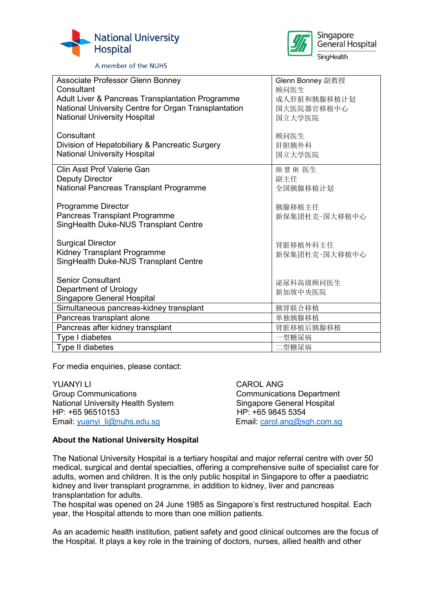



| Associate Professor Glenn Bonney                     | Glenn Bonney 副教授 |
|------------------------------------------------------|------------------|
| Consultant                                           | 顾问医生             |
| Adult Liver & Pancreas Transplantation Programme     | 成人肝脏和胰腺移植计划      |
| National University Centre for Organ Transplantation | 国大医院器官移植中心       |
| <b>National University Hospital</b>                  | 国立大学医院           |
|                                                      |                  |
| Consultant                                           | 顾问医生             |
| Division of Hepatobiliary & Pancreatic Surgery       | 肝胆胰外科            |
| <b>National University Hospital</b>                  | 国立大学医院           |
| Clin Asst Prof Valerie Gan                           |                  |
|                                                      | 颜 慧 俐 医生         |
| <b>Deputy Director</b>                               | 副主任              |
| National Pancreas Transplant Programme               | 全国胰腺移植计划         |
|                                                      |                  |
| Programme Director                                   | 胰腺移植主任           |
| Pancreas Transplant Programme                        | 新保集团杜克-国大移植中心    |
| SingHealth Duke-NUS Transplant Centre                |                  |
|                                                      |                  |
| <b>Surgical Director</b>                             | 肾脏移植外科主任         |
| Kidney Transplant Programme                          | 新保集团杜克-国大移植中心    |
| SingHealth Duke-NUS Transplant Centre                |                  |
|                                                      |                  |
| <b>Senior Consultant</b>                             | 泌尿科高级顾问医生        |
| Department of Urology                                | 新加坡中央医院          |
| <b>Singapore General Hospital</b>                    |                  |
| Simultaneous pancreas-kidney transplant              | 胰肾联合移植           |
| Pancreas transplant alone                            | 单独胰腺移植           |
| Pancreas after kidney transplant                     | 肾脏移植后胰腺移植        |
| Type I diabetes                                      | 一型糖尿病            |
| Type II diabetes                                     | 二型糖尿病            |
|                                                      |                  |

For media enquiries, please contact:

YUANYI LI CAROL ANG Group Communications<br>
National University Health System<br>
Singapore General Hospital National University Health System<br>HP: +65 96510153 Email: [yuanyi\\_li@nuhs.edu.sg](mailto:yuanyi_li@nuhs.edu.sg) entitled by Email: [carol.ang@sgh.com.sg](mailto:carol.ang@sgh.com.sg)

HP: +65 9845 5354

#### **About the National University Hospital**

The National University Hospital is a tertiary hospital and major referral centre with over 50 medical, surgical and dental specialties, offering a comprehensive suite of specialist care for adults, women and children. It is the only public hospital in Singapore to offer a paediatric kidney and liver transplant programme, in addition to kidney, liver and pancreas transplantation for adults.

The hospital was opened on 24 June 1985 as Singapore's first restructured hospital. Each year, the Hospital attends to more than one million patients.

As an academic health institution, patient safety and good clinical outcomes are the focus of the Hospital. It plays a key role in the training of doctors, nurses, allied health and other